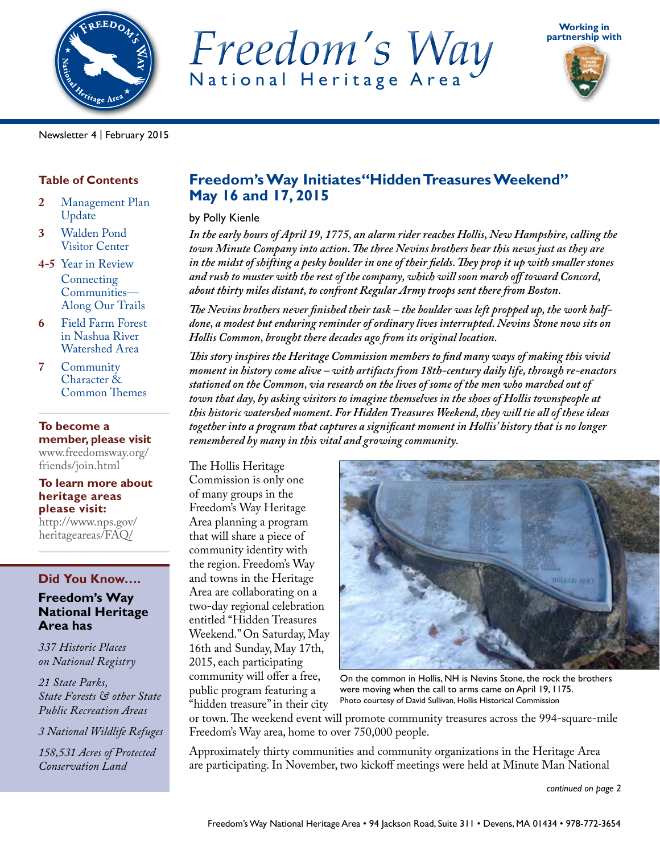

*Freedom's Way* National Heritage Area





Newsletter 4 | February 2015

## **Table of Contents**

- **2** Management Plan Update
- **3** Walden Pond Visitor Center
- **4-5** Year in Review Connecting Communities— Along Our Trails
- **6** Field Farm Forest in Nashua River Watershed Area
- **7** Community Character & Common Themes

### **To become a member, please visit**

[www.freedomsway.org/](http://www.freedomsway.org/friends/join.html) [friends/join.html](http://www.freedomsway.org/friends/join.html)

### **To learn more about heritage areas please visit:**

[http://www.nps.gov/](http://www.nps.gov/heritageareas/FAQ/) [heritageareas/FAQ/](http://www.nps.gov/heritageareas/FAQ/)

## **Did You Know….**

## **Freedom's Way National Heritage Area has**

*337 Historic Places on National Registry*

*21 State Parks, State Forests & other State Public Recreation Areas*

*3 National Wildlife Refuges*

*158,531 Acres of Protected Conservation Land*

## **Freedom's Way Initiates"Hidden Treasures Weekend" May 16 and 17, 2015**

by Polly Kienle

*In the early hours of April 19, 1775, an alarm rider reaches Hollis, New Hampshire, calling the town Minute Company into action. The three Nevins brothers hear this news just as they are in the midst of shifting a pesky boulder in one of their fields. They prop it up with smaller stones and rush to muster with the rest of the company, which will soon march off toward Concord, about thirty miles distant, to confront Regular Army troops sent there from Boston.*

*The Nevins brothers never finished their task – the boulder was left propped up, the work halfdone, a modest but enduring reminder of ordinary lives interrupted. Nevins Stone now sits on Hollis Common, brought there decades ago from its original location.* 

*This story inspires the Heritage Commission members to find many ways of making this vivid moment in history come alive – with artifacts from 18th-century daily life, through re-enactors stationed on the Common, via research on the lives of some of the men who marched out of town that day, by asking visitors to imagine themselves in the shoes of Hollis townspeople at this historic watershed moment. For Hidden Treasures Weekend, they will tie all of these ideas together into a program that captures a significant moment in Hollis' history that is no longer remembered by many in this vital and growing community.* 

The Hollis Heritage Commission is only one of many groups in the Freedom's Way Heritage Area planning a program that will share a piece of community identity with the region. Freedom's Way and towns in the Heritage Area are collaborating on a two-day regional celebration entitled "Hidden Treasures Weekend." On Saturday, May 16th and Sunday, May 17th, 2015, each participating community will offer a free, public program featuring a "hidden treasure" in their city



On the common in Hollis, NH is Nevins Stone, the rock the brothers were moving when the call to arms came on April 19, 1175. Photo courtesy of David Sullivan, Hollis Historical Commission

or town. The weekend event will promote community treasures across the 994-square-mile Freedom's Way area, home to over 750,000 people.

Approximately thirty communities and community organizations in the Heritage Area are participating. In November, two kickoff meetings were held at Minute Man National

*continued on page 2*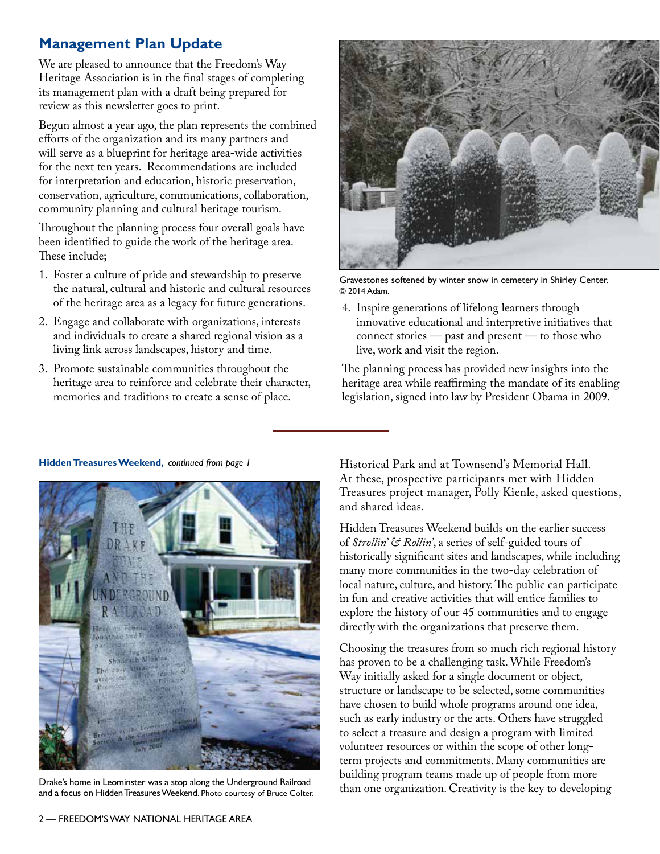# **Management Plan Update**

We are pleased to announce that the Freedom's Way Heritage Association is in the final stages of completing its management plan with a draft being prepared for review as this newsletter goes to print.

Begun almost a year ago, the plan represents the combined efforts of the organization and its many partners and will serve as a blueprint for heritage area-wide activities for the next ten years. Recommendations are included for interpretation and education, historic preservation, conservation, agriculture, communications, collaboration, community planning and cultural heritage tourism.

Throughout the planning process four overall goals have been identified to guide the work of the heritage area. These include;

- 1. Foster a culture of pride and stewardship to preserve the natural, cultural and historic and cultural resources of the heritage area as a legacy for future generations.
- 2. Engage and collaborate with organizations, interests and individuals to create a shared regional vision as a living link across landscapes, history and time.
- 3. Promote sustainable communities throughout the heritage area to reinforce and celebrate their character, memories and traditions to create a sense of place.



Gravestones softened by winter snow in cemetery in Shirley Center. © 2014 Adam.

4. Inspire generations of lifelong learners through innovative educational and interpretive initiatives that connect stories — past and present — to those who live, work and visit the region.

The planning process has provided new insights into the heritage area while reaffirming the mandate of its enabling legislation, signed into law by President Obama in 2009.



Drake's home in Leominster was a stop along the Underground Railroad and a focus on Hidden Treasures Weekend. Photo courtesy of Bruce Colter.

Historical Park and at Townsend's Memorial Hall. At these, prospective participants met with Hidden Treasures project manager, Polly Kienle, asked questions, and shared ideas.

Hidden Treasures Weekend builds on the earlier success of *Strollin' & Rollin'*, a series of self-guided tours of historically significant sites and landscapes, while including many more communities in the two-day celebration of local nature, culture, and history. The public can participate in fun and creative activities that will entice families to explore the history of our 45 communities and to engage directly with the organizations that preserve them.

Choosing the treasures from so much rich regional history has proven to be a challenging task. While Freedom's Way initially asked for a single document or object, structure or landscape to be selected, some communities have chosen to build whole programs around one idea, such as early industry or the arts. Others have struggled to select a treasure and design a program with limited volunteer resources or within the scope of other longterm projects and commitments. Many communities are building program teams made up of people from more than one organization. Creativity is the key to developing

### **Hidden Treasures Weekend,** *continued from page 1*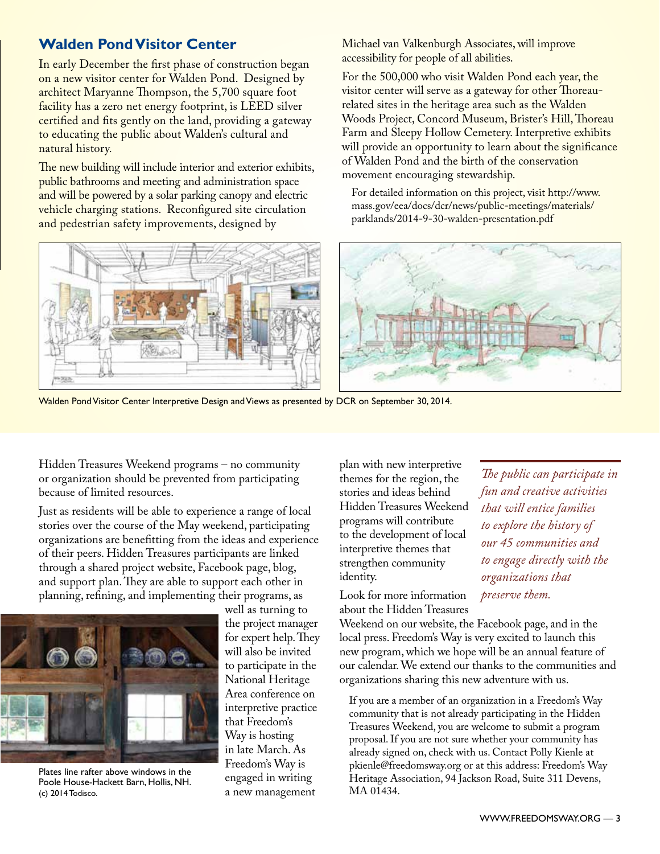# **Walden Pond Visitor Center**

In early December the first phase of construction began on a new visitor center for Walden Pond. Designed by architect Maryanne Thompson, the 5,700 square foot facility has a zero net energy footprint, is LEED silver certified and fits gently on the land, providing a gateway to educating the public about Walden's cultural and natural history.

The new building will include interior and exterior exhibits, public bathrooms and meeting and administration space and will be powered by a solar parking canopy and electric vehicle charging stations. Reconfigured site circulation and pedestrian safety improvements, designed by



For the 500,000 who visit Walden Pond each year, the visitor center will serve as a gateway for other Thoreaurelated sites in the heritage area such as the Walden Woods Project, Concord Museum, Brister's Hill, Thoreau Farm and Sleepy Hollow Cemetery. Interpretive exhibits will provide an opportunity to learn about the significance of Walden Pond and the birth of the conservation movement encouraging stewardship.

For detailed information on this project, visit [http://www.](http://www.mass.gov/eea/docs/dcr/news/public-meetings/materials/parklands/2014-9-30-walden-presentation.pdf) [mass.gov/eea/docs/dcr/news/public-meetings/materials/](http://www.mass.gov/eea/docs/dcr/news/public-meetings/materials/parklands/2014-9-30-walden-presentation.pdf) [parklands/2014-9-30-walden-presentation.pdf](http://www.mass.gov/eea/docs/dcr/news/public-meetings/materials/parklands/2014-9-30-walden-presentation.pdf)



Walden Pond Visitor Center Interpretive Design and Views as presented by DCR on September 30, 2014.

Hidden Treasures Weekend programs – no community or organization should be prevented from participating because of limited resources.

Just as residents will be able to experience a range of local stories over the course of the May weekend, participating organizations are benefitting from the ideas and experience of their peers. Hidden Treasures participants are linked through a shared project website, Facebook page, blog, and support plan. They are able to support each other in planning, refining, and implementing their programs, as



Plates line rafter above windows in the Poole House-Hackett Barn, Hollis, NH. (c) 2014 Todisco.

well as turning to the project manager for expert help. They will also be invited to participate in the National Heritage Area conference on interpretive practice that Freedom's Way is hosting in late March. As Freedom's Way is engaged in writing a new management

plan with new interpretive themes for the region, the stories and ideas behind Hidden Treasures Weekend programs will contribute to the development of local interpretive themes that strengthen community identity.

Look for more information about the Hidden Treasures

Weekend on our website, the Facebook page, and in the local press. Freedom's Way is very excited to launch this new program, which we hope will be an annual feature of our calendar. We extend our thanks to the communities and organizations sharing this new adventure with us.

If you are a member of an organization in a Freedom's Way community that is not already participating in the Hidden Treasures Weekend, you are welcome to submit a program proposal. If you are not sure whether your community has already signed on, check with us. Contact Polly Kienle at pkienle@freedomsway.org or at this address: Freedom's Way Heritage Association, 94 Jackson Road, Suite 311 Devens, MA 01434.

*The public can participate in fun and creative activities that will entice families to explore the history of our 45 communities and to engage directly with the organizations that preserve them.*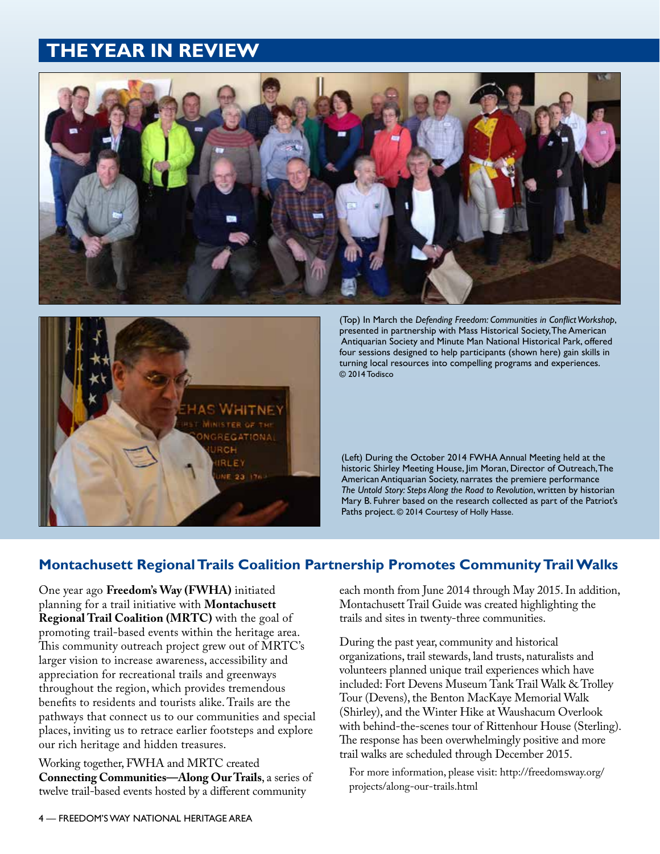# **THE YEAR IN REVIEW**





(Top) In March the *Defending Freedom: Communities in Conflict Workshop*, presented in partnership with Mass Historical Society, The American Antiquarian Society and Minute Man National Historical Park, offered four sessions designed to help participants (shown here) gain skills in turning local resources into compelling programs and experiences. © 2014 Todisco

(Left) During the October 2014 FWHA Annual Meeting held at the historic Shirley Meeting House, Jim Moran, Director of Outreach, The American Antiquarian Society, narrates the premiere performance *The Untold Story: Steps Along the Road to Revolution*, written by historian Mary B. Fuhrer based on the research collected as part of the Patriot's Paths project. © 2014 Courtesy of Holly Hasse.

## **Montachusett Regional Trails Coalition Partnership Promotes Community Trail Walks**

One year ago **Freedom's Way (FWHA)** initiated planning for a trail initiative with **Montachusett Regional Trail Coalition (MRTC)** with the goal of promoting trail-based events within the heritage area. This community outreach project grew out of MRTC's larger vision to increase awareness, accessibility and appreciation for recreational trails and greenways throughout the region, which provides tremendous benefits to residents and tourists alike. Trails are the pathways that connect us to our communities and special places, inviting us to retrace earlier footsteps and explore our rich heritage and hidden treasures.

Working together, FWHA and MRTC created **Connecting Communities—Along Our Trails**, a series of twelve trail-based events hosted by a different community

each month from June 2014 through May 2015. In addition, Montachusett Trail Guide was created highlighting the trails and sites in twenty-three communities.

During the past year, community and historical organizations, trail stewards, land trusts, naturalists and volunteers planned unique trail experiences which have included: Fort Devens Museum Tank Trail Walk & Trolley Tour (Devens), the Benton MacKaye Memorial Walk (Shirley), and the Winter Hike at Waushacum Overlook with behind-the-scenes tour of Rittenhour House (Sterling). The response has been overwhelmingly positive and more trail walks are scheduled through December 2015.

For more information, please visit: http://freedomsway.org/ projects/along-our-trails.html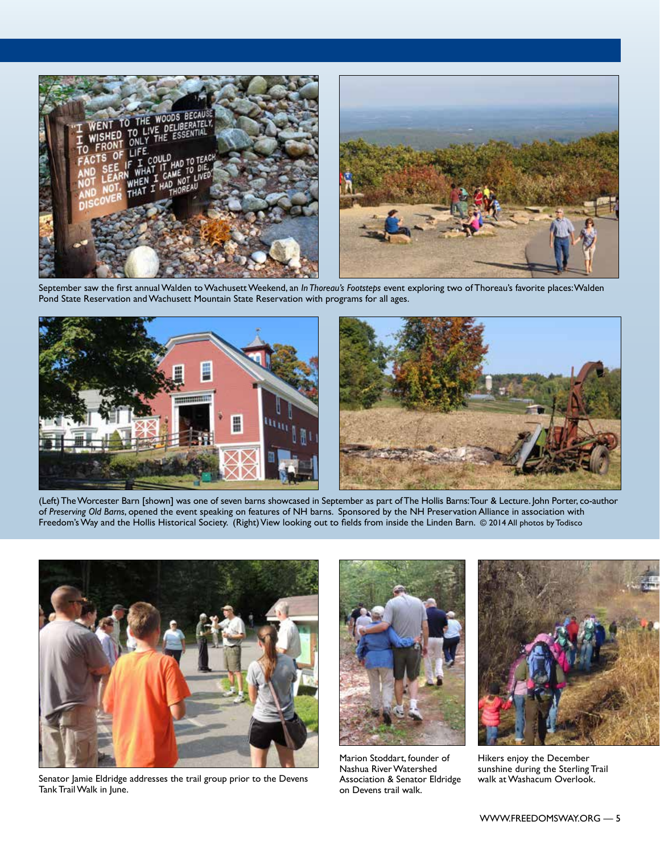

September saw the first annual Walden to Wachusett Weekend, an *In Thoreau's Footsteps* event exploring two of Thoreau's favorite places: Walden Pond State Reservation and Wachusett Mountain State Reservation with programs for all ages.



(Left) The Worcester Barn [shown] was one of seven barns showcased in September as part of The Hollis Barns: Tour & Lecture. John Porter, co-author of *Preserving Old Barns*, opened the event speaking on features of NH barns. Sponsored by the NH Preservation Alliance in association with Freedom's Way and the Hollis Historical Society. (Right) View looking out to fields from inside the Linden Barn. © 2014 All photos by Todisco



Senator Jamie Eldridge addresses the trail group prior to the Devens Association & Senator Eldridge walk at Washacum Overlook. Tank Trail Walk in June.



Marion Stoddart, founder of Nashua River Watershed Association & Senator Eldridge on Devens trail walk.



Hikers enjoy the December sunshine during the Sterling Trail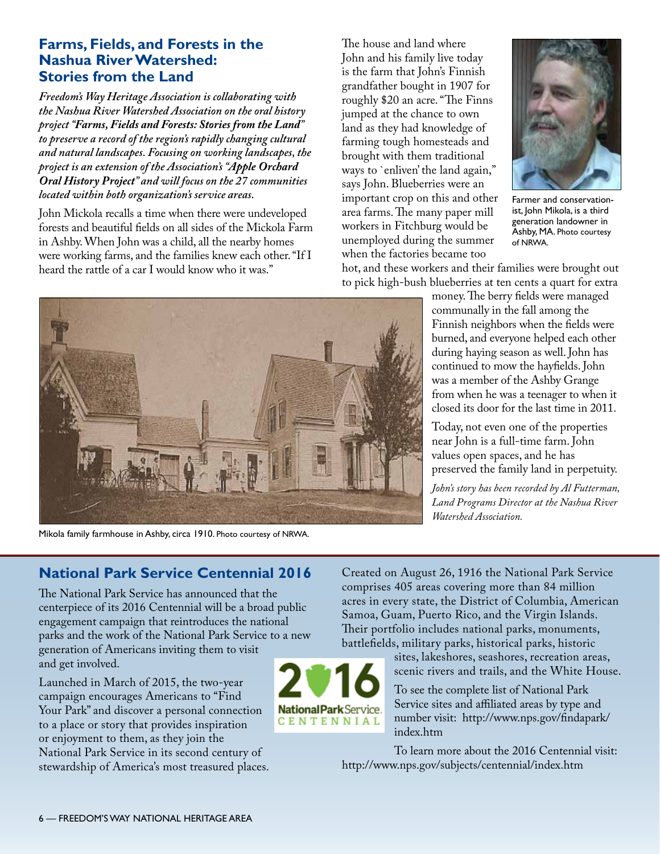## **Farms, Fields, and Forests in the Nashua River Watershed: Stories from the Land**

*Freedom's Way Heritage Association is collaborating with the Nashua River Watershed Association on the oral history project "Farms, Fields and Forests: Stories from the Land" to preserve a record of the region's rapidly changing cultural and natural landscapes. Focusing on working landscapes, the project is an extension of the Association's "Apple Orchard Oral History Project" and will focus on the 27 communities located within both organization's service areas.*

John Mickola recalls a time when there were undeveloped forests and beautiful fields on all sides of the Mickola Farm in Ashby. When John was a child, all the nearby homes were working farms, and the families knew each other. "If I heard the rattle of a car I would know who it was."

The house and land where John and his family live today is the farm that John's Finnish grandfather bought in 1907 for roughly \$20 an acre. "The Finns jumped at the chance to own land as they had knowledge of farming tough homesteads and brought with them traditional ways to `enliven' the land again," says John. Blueberries were an important crop on this and other area farms. The many paper mill workers in Fitchburg would be unemployed during the summer when the factories became too



Farmer and conservationist, John Mikola, is a third generation landowner in Ashby, MA. Photo courtesy of NRWA.

hot, and these workers and their families were brought out to pick high-bush blueberries at ten cents a quart for extra

> money. The berry fields were managed communally in the fall among the Finnish neighbors when the fields were burned, and everyone helped each other during haying season as well. John has continued to mow the hayfields. John was a member of the Ashby Grange from when he was a teenager to when it closed its door for the last time in 2011.

> Today, not even one of the properties near John is a full-time farm. John values open spaces, and he has preserved the family land in perpetuity.

> *John's story has been recorded by Al Futterman, Land Programs Director at the Nashua River Watershed Association.*



National Park Service. **CENTENNIAL** 

Mikola family farmhouse in Ashby, circa 1910. Photo courtesy of NRWA.

## **National Park Service Centennial 2016**

The National Park Service has announced that the centerpiece of its 2016 Centennial will be a broad public engagement campaign that reintroduces the national parks and the work of the National Park Service to a new generation of Americans inviting them to visit and get involved.

Launched in March of 2015, the two-year campaign encourages Americans to "Find Your Park" and discover a personal connection to a place or story that provides inspiration or enjoyment to them, as they join the National Park Service in its second century of stewardship of America's most treasured places.

Created on August 26, 1916 the National Park Service comprises 405 areas covering more than 84 million acres in every state, the District of Columbia, American Samoa, Guam, Puerto Rico, and the Virgin Islands. Their portfolio includes national parks, monuments, battlefields, military parks, historical parks, historic

> sites, lakeshores, seashores, recreation areas, scenic rivers and trails, and the White House.

To see the complete list of National Park Service sites and affiliated areas by type and number visit: http://www.nps.gov/findapark/ index.htm

To learn more about the 2016 Centennial visit: http://www.nps.gov/subjects/centennial/index.htm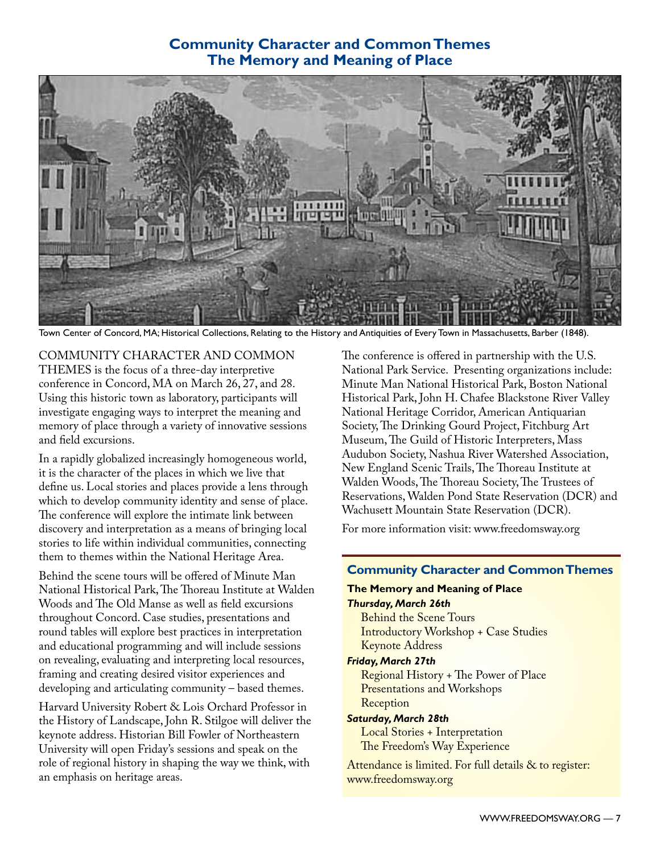## **Community Character and Common Themes The Memory and Meaning of Place**



Town Center of Concord, MA; Historical Collections, Relating to the History and Antiquities of Every Town in Massachusetts, Barber (1848).

COMMUNITY CHARACTER AND COMMON THEMES is the focus of a three-day interpretive conference in Concord, MA on March 26, 27, and 28. Using this historic town as laboratory, participants will investigate engaging ways to interpret the meaning and memory of place through a variety of innovative sessions and field excursions.

In a rapidly globalized increasingly homogeneous world, it is the character of the places in which we live that define us. Local stories and places provide a lens through which to develop community identity and sense of place. The conference will explore the intimate link between discovery and interpretation as a means of bringing local stories to life within individual communities, connecting them to themes within the National Heritage Area.

Behind the scene tours will be offered of Minute Man National Historical Park, The Thoreau Institute at Walden Woods and The Old Manse as well as field excursions throughout Concord. Case studies, presentations and round tables will explore best practices in interpretation and educational programming and will include sessions on revealing, evaluating and interpreting local resources, framing and creating desired visitor experiences and developing and articulating community – based themes.

Harvard University Robert & Lois Orchard Professor in the History of Landscape, John R. Stilgoe will deliver the keynote address. Historian Bill Fowler of Northeastern University will open Friday's sessions and speak on the role of regional history in shaping the way we think, with an emphasis on heritage areas.

The conference is offered in partnership with the U.S. National Park Service. Presenting organizations include: Minute Man National Historical Park, Boston National Historical Park, John H. Chafee Blackstone River Valley National Heritage Corridor, American Antiquarian Society, The Drinking Gourd Project, Fitchburg Art Museum, The Guild of Historic Interpreters, Mass Audubon Society, Nashua River Watershed Association, New England Scenic Trails, The Thoreau Institute at Walden Woods, The Thoreau Society, The Trustees of Reservations, Walden Pond State Reservation (DCR) and Wachusett Mountain State Reservation (DCR).

For more information visit: [www.freedomsway.org](http://www.freedomsway.org/friends/news.html)

### **Community Character and Common Themes**

### **The Memory and Meaning of Place**

*Thursday, March 26th* 

Behind the Scene Tours Introductory Workshop + Case Studies Keynote Address

#### *Friday, March 27th*

Regional History + The Power of Place Presentations and Workshops Reception

### *Saturday, March 28th* Local Stories + Interpretation

The Freedom's Way Experience

Attendance is limited. For full details & to register: [www.freedomsway.org](http://www.freedomsway.org/friends/news.html)